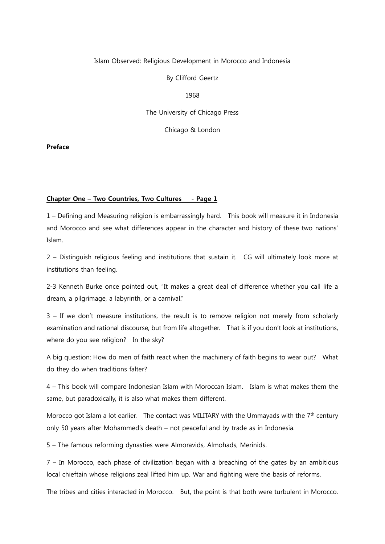# Islam Observed: Religious Development in Morocco and Indonesia

By Clifford Geertz

1968

The University of Chicago Press

Chicago & London

Preface

# Chapter One - Two Countries, Two Cultures - Page 1

1 – Defining and Measuring religion is embarrassingly hard. This book will measure it in Indonesia and Morocco and see what differences appear in the character and history of these two nations' Islam.

2 – Distinguish religious feeling and institutions that sustain it. CG will ultimately look more at institutions than feeling.

2-3 Kenneth Burke once pointed out, "It makes a great deal of difference whether you call life a dream, a pilgrimage, a labyrinth, or a carnival."

3 – If we don't measure institutions, the result is to remove religion not merely from scholarly examination and rational discourse, but from life altogether. That is if you don't look at institutions, where do you see religion? In the sky?

A big question: How do men of faith react when the machinery of faith begins to wear out? What do they do when traditions falter?

4 – This book will compare Indonesian Islam with Moroccan Islam. Islam is what makes them the same, but paradoxically, it is also what makes them different.

Morocco got Islam a lot earlier. The contact was MILITARY with the Ummayads with the  $7<sup>th</sup>$  century only 50 years after Mohammed's death – not peaceful and by trade as in Indonesia.

5 – The famous reforming dynasties were Almoravids, Almohads, Merinids.

7 – In Morocco, each phase of civilization began with a breaching of the gates by an ambitious local chieftain whose religions zeal lifted him up. War and fighting were the basis of reforms.

The tribes and cities interacted in Morocco. But, the point is that both were turbulent in Morocco.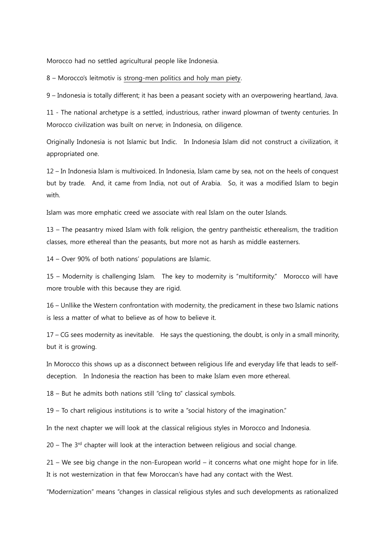Morocco had no settled agricultural people like Indonesia.

8 – Morocco's leitmotiv is strong-men politics and holy man piety.

9 – Indonesia is totally different; it has been a peasant society with an overpowering heartland, Java.

11 - The national archetype is a settled, industrious, rather inward plowman of twenty centuries. In Morocco civilization was built on nerve; in Indonesia, on diligence.

Originally Indonesia is not Islamic but Indic. In Indonesia Islam did not construct a civilization, it appropriated one.

12 – In Indonesia Islam is multivoiced. In Indonesia, Islam came by sea, not on the heels of conquest but by trade. And, it came from India, not out of Arabia. So, it was a modified Islam to begin with.

Islam was more emphatic creed we associate with real Islam on the outer Islands.

13 – The peasantry mixed Islam with folk religion, the gentry pantheistic etherealism, the tradition classes, more ethereal than the peasants, but more not as harsh as middle easterners.

14 – Over 90% of both nations' populations are Islamic.

15 – Modernity is challenging Islam. The key to modernity is "multiformity." Morocco will have more trouble with this because they are rigid.

16 – Unllike the Western confrontation with modernity, the predicament in these two Islamic nations is less a matter of what to believe as of how to believe it.

17 – CG sees modernity as inevitable. He says the questioning, the doubt, is only in a small minority, but it is growing.

In Morocco this shows up as a disconnect between religious life and everyday life that leads to selfdeception. In Indonesia the reaction has been to make Islam even more ethereal.

18 – But he admits both nations still "cling to" classical symbols.

19 – To chart religious institutions is to write a "social history of the imagination."

In the next chapter we will look at the classical religious styles in Morocco and Indonesia.

 $20$  – The  $3<sup>rd</sup>$  chapter will look at the interaction between religious and social change.

21 – We see big change in the non-European world – it concerns what one might hope for in life. It is not westernization in that few Moroccan's have had any contact with the West.

"Modernization" means "changes in classical religious styles and such developments as rationalized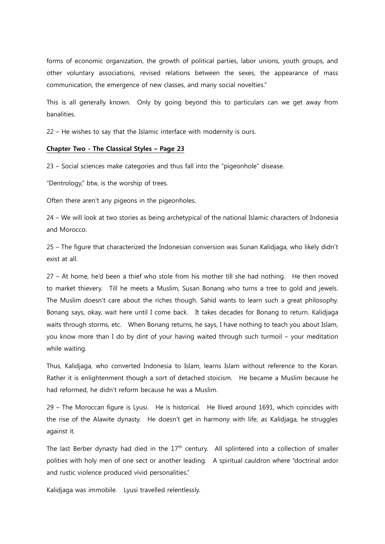forms of economic organization, the growth of political parties, labor unions, youth groups, and other voluntary associations, revised relations between the sexes, the appearance of mass communication, the emergence of new classes, and many social novelties."

This is all generally known. Only by going beyond this to particulars can we get away from banalities.

22 – He wishes to say that the Islamic interface with modernity is ours.

### Chapter Two - The Classical Styles – Page 23

23 – Social sciences make categories and thus fall into the "pigeonhole" disease.

"Dentrology," btw, is the worship of trees.

Often there aren't any pigeons in the pigeonholes.

24 – We will look at two stories as being archetypical of the national Islamic characters of Indonesia and Morocco.

25 – The figure that characterized the Indonesian conversion was Sunan Kalidjaga, who likely didn't exist at all.

27 – At home, he'd been a thief who stole from his mother till she had nothing. He then moved to market thievery. Till he meets a Muslim, Susan Bonang who turns a tree to gold and jewels. The Muslim doesn't care about the riches though. Sahid wants to learn such a great philosophy. Bonang says, okay, wait here until I come back. It takes decades for Bonang to return. Kalidjaga waits through storms, etc. When Bonang returns, he says, I have nothing to teach you about Islam, you know more than I do by dint of your having waited through such turmoil – your meditation while waiting.

Thus, Kalidjaga, who converted Indonesia to Islam, learns Islam without reference to the Koran. Rather it is enlightenment though a sort of detached stoicism. He became a Muslim because he had reformed, he didn't reform because he was a Muslim.

29 – The Moroccan figure is Lyusi. He is historical. He llived around 1691, which coincides with the rise of the Alawite dynasty. He doesn't get in harmony with life, as Kalidjaga, he struggles against it.

The last Berber dynasty had died in the  $17<sup>th</sup>$  century. All splintered into a collection of smaller polities with holy men of one sect or another leading. A spiritual cauldron where "doctrinal ardor and rustic violence produced vivid personalities."

Kalidjaga was immobile. Lyusi travelled relentlessly.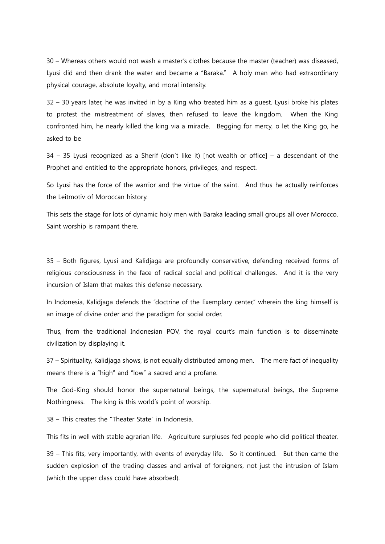30 – Whereas others would not wash a master's clothes because the master (teacher) was diseased, Lyusi did and then drank the water and became a "Baraka." A holy man who had extraordinary physical courage, absolute loyalty, and moral intensity.

32 – 30 years later, he was invited in by a King who treated him as a guest. Lyusi broke his plates to protest the mistreatment of slaves, then refused to leave the kingdom. When the King confronted him, he nearly killed the king via a miracle. Begging for mercy, o let the King go, he asked to be

34 – 35 Lyusi recognized as a Sherif (don't like it) [not wealth or office] – a descendant of the Prophet and entitled to the appropriate honors, privileges, and respect.

So Lyusi has the force of the warrior and the virtue of the saint. And thus he actually reinforces the Leitmotiv of Moroccan history.

This sets the stage for lots of dynamic holy men with Baraka leading small groups all over Morocco. Saint worship is rampant there.

35 – Both figures, Lyusi and Kalidjaga are profoundly conservative, defending received forms of religious consciousness in the face of radical social and political challenges. And it is the very incursion of Islam that makes this defense necessary.

In Indonesia, Kalidjaga defends the "doctrine of the Exemplary center," wherein the king himself is an image of divine order and the paradigm for social order.

Thus, from the traditional Indonesian POV, the royal court's main function is to disseminate civilization by displaying it.

37 – Spirituality, Kalidjaga shows, is not equally distributed among men. The mere fact of inequality means there is a "high" and "low" a sacred and a profane.

The God-King should honor the supernatural beings, the supernatural beings, the Supreme Nothingness. The king is this world's point of worship.

38 – This creates the "Theater State" in Indonesia.

This fits in well with stable agrarian life. Agriculture surpluses fed people who did political theater.

39 – This fits, very importantly, with events of everyday life. So it continued. But then came the sudden explosion of the trading classes and arrival of foreigners, not just the intrusion of Islam (which the upper class could have absorbed).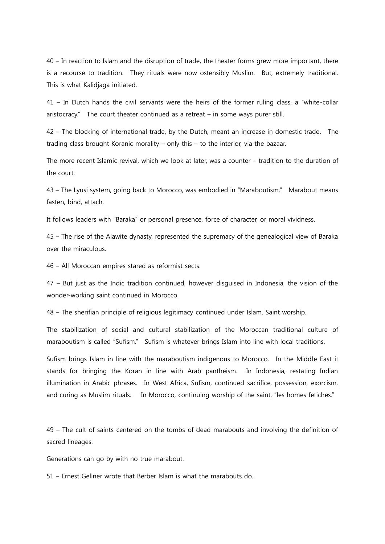40 – In reaction to Islam and the disruption of trade, the theater forms grew more important, there is a recourse to tradition. They rituals were now ostensibly Muslim. But, extremely traditional. This is what Kalidjaga initiated.

41 – In Dutch hands the civil servants were the heirs of the former ruling class, a "white-collar aristocracy." The court theater continued as a retreat – in some ways purer still.

42 – The blocking of international trade, by the Dutch, meant an increase in domestic trade. The trading class brought Koranic morality – only this – to the interior, via the bazaar.

The more recent Islamic revival, which we look at later, was a counter – tradition to the duration of the court.

43 – The Lyusi system, going back to Morocco, was embodied in "Maraboutism." Marabout means fasten, bind, attach.

It follows leaders with "Baraka" or personal presence, force of character, or moral vividness.

45 – The rise of the Alawite dynasty, represented the supremacy of the genealogical view of Baraka over the miraculous.

46 – All Moroccan empires stared as reformist sects.

47 – But just as the Indic tradition continued, however disguised in Indonesia, the vision of the wonder-working saint continued in Morocco.

48 – The sherifian principle of religious legitimacy continued under Islam. Saint worship.

The stabilization of social and cultural stabilization of the Moroccan traditional culture of maraboutism is called "Sufism." Sufism is whatever brings Islam into line with local traditions.

Sufism brings Islam in line with the maraboutism indigenous to Morocco. In the Middle East it stands for bringing the Koran in line with Arab pantheism. In Indonesia, restating Indian illumination in Arabic phrases. In West Africa, Sufism, continued sacrifice, possession, exorcism, and curing as Muslim rituals. In Morocco, continuing worship of the saint, "les homes fetiches."

49 – The cult of saints centered on the tombs of dead marabouts and involving the definition of sacred lineages.

Generations can go by with no true marabout.

51 – Ernest Gellner wrote that Berber Islam is what the marabouts do.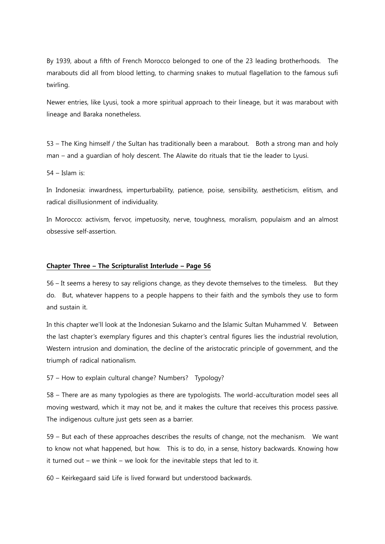By 1939, about a fifth of French Morocco belonged to one of the 23 leading brotherhoods. The marabouts did all from blood letting, to charming snakes to mutual flagellation to the famous sufi twirling.

Newer entries, like Lyusi, took a more spiritual approach to their lineage, but it was marabout with lineage and Baraka nonetheless.

53 – The King himself / the Sultan has traditionally been a marabout. Both a strong man and holy man – and a guardian of holy descent. The Alawite do rituals that tie the leader to Lyusi.

54 – Islam is:

In Indonesia: inwardness, imperturbability, patience, poise, sensibility, aestheticism, elitism, and radical disillusionment of individuality.

In Morocco: activism, fervor, impetuosity, nerve, toughness, moralism, populaism and an almost obsessive self-assertion.

### Chapter Three – The Scripturalist Interlude – Page 56

56 – It seems a heresy to say religions change, as they devote themselves to the timeless. But they do. But, whatever happens to a people happens to their faith and the symbols they use to form and sustain it.

In this chapter we'll look at the Indonesian Sukarno and the Islamic Sultan Muhammed V. Between the last chapter's exemplary figures and this chapter's central figures lies the industrial revolution, Western intrusion and domination, the decline of the aristocratic principle of government, and the triumph of radical nationalism.

57 – How to explain cultural change? Numbers? Typology?

58 – There are as many typologies as there are typologists. The world-acculturation model sees all moving westward, which it may not be, and it makes the culture that receives this process passive. The indigenous culture just gets seen as a barrier.

59 – But each of these approaches describes the results of change, not the mechanism. We want to know not what happened, but how. This is to do, in a sense, history backwards. Knowing how it turned out – we think – we look for the inevitable steps that led to it.

60 – Keirkegaard said Life is lived forward but understood backwards.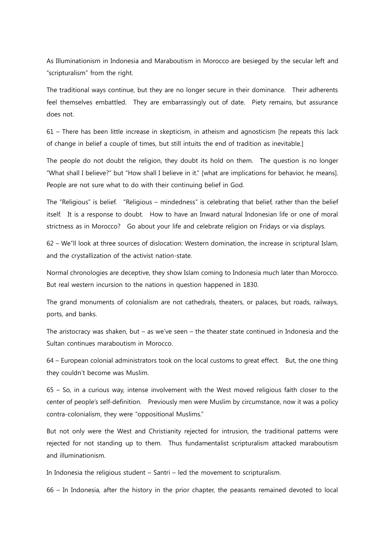As Illuminationism in Indonesia and Maraboutism in Morocco are besieged by the secular left and "scripturalism" from the right.

The traditional ways continue, but they are no longer secure in their dominance. Their adherents feel themselves embattled. They are embarrassingly out of date. Piety remains, but assurance does not.

61 – There has been little increase in skepticism, in atheism and agnosticism [he repeats this lack of change in belief a couple of times, but still intuits the end of tradition as inevitable.]

The people do not doubt the religion, they doubt its hold on them. The question is no longer "What shall I believe?" but "How shall I believe in it." [what are implications for behavior, he means]. People are not sure what to do with their continuing belief in God.

The "Religious" is belief. "Religious – mindedness" is celebrating that belief, rather than the belief itself. It is a response to doubt. How to have an Inward natural Indonesian life or one of moral strictness as in Morocco? Go about your life and celebrate religion on Fridays or via displays.

62 – We''ll look at three sources of dislocation: Western domination, the increase in scriptural Islam, and the crystallization of the activist nation-state.

Normal chronologies are deceptive, they show Islam coming to Indonesia much later than Morocco. But real western incursion to the nations in question happened in 1830.

The grand monuments of colonialism are not cathedrals, theaters, or palaces, but roads, railways, ports, and banks.

The aristocracy was shaken, but – as we've seen – the theater state continued in Indonesia and the Sultan continues maraboutism in Morocco.

64 – European colonial administrators took on the local customs to great effect. But, the one thing they couldn't become was Muslim.

65 – So, in a curious way, intense involvement with the West moved religious faith closer to the center of people's self-definition. Previously men were Muslim by circumstance, now it was a policy contra-colonialism, they were "oppositional Muslims."

But not only were the West and Christianity rejected for intrusion, the traditional patterns were rejected for not standing up to them. Thus fundamentalist scripturalism attacked maraboutism and illuminationism.

In Indonesia the religious student – Santri – led the movement to scripturalism.

66 – In Indonesia, after the history in the prior chapter, the peasants remained devoted to local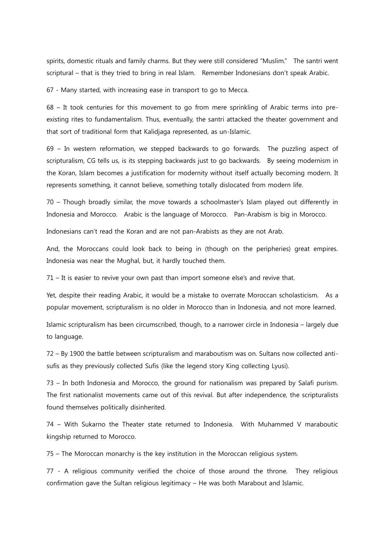spirits, domestic rituals and family charms. But they were still considered "Muslim." The santri went scriptural – that is they tried to bring in real Islam. Remember Indonesians don't speak Arabic.

67 - Many started, with increasing ease in transport to go to Mecca.

68 – It took centuries for this movement to go from mere sprinkling of Arabic terms into preexisting rites to fundamentalism. Thus, eventually, the santri attacked the theater government and that sort of traditional form that Kalidjaga represented, as un-Islamic.

69 – In western reformation, we stepped backwards to go forwards. The puzzling aspect of scripturalism, CG tells us, is its stepping backwards just to go backwards. By seeing modernism in the Koran, Islam becomes a justification for modernity without itself actually becoming modern. It represents something, it cannot believe, something totally dislocated from modern life.

70 – Though broadly similar, the move towards a schoolmaster's Islam played out differently in Indonesia and Morocco. Arabic is the language of Morocco. Pan-Arabism is big in Morocco.

Indonesians can't read the Koran and are not pan-Arabists as they are not Arab.

And, the Moroccans could look back to being in (though on the peripheries) great empires. Indonesia was near the Mughal, but, it hardly touched them.

71 – It is easier to revive your own past than import someone else's and revive that.

Yet, despite their reading Arabic, it would be a mistake to overrate Moroccan scholasticism. As a popular movement, scripturalism is no older in Morocco than in Indonesia, and not more learned.

Islamic scripturalism has been circumscribed, though, to a narrower circle in Indonesia – largely due to language.

72 – By 1900 the battle between scripturalism and maraboutism was on. Sultans now collected antisufis as they previously collected Sufis (like the legend story King collecting Lyusi).

73 – In both Indonesia and Morocco, the ground for nationalism was prepared by Salafi purism. The first nationalist movements came out of this revival. But after independence, the scripturalists found themselves politically disinherited.

74 – With Sukarno the Theater state returned to Indonesia. With Muhammed V maraboutic kingship returned to Morocco.

75 – The Moroccan monarchy is the key institution in the Moroccan religious system.

77 - A religious community verified the choice of those around the throne. They religious confirmation gave the Sultan religious legitimacy – He was both Marabout and Islamic.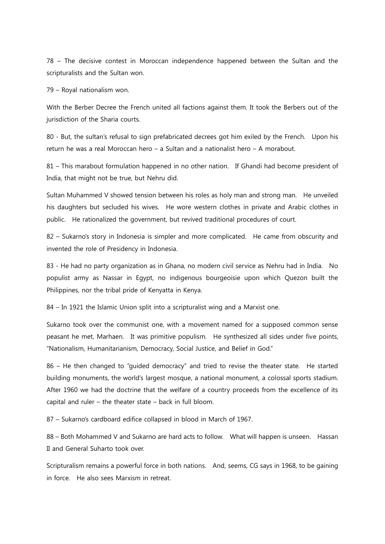78 – The decisive contest in Moroccan independence happened between the Sultan and the scripturalists and the Sultan won.

79 – Royal nationalism won.

With the Berber Decree the French united all factions against them. It took the Berbers out of the jurisdiction of the Sharia courts.

80 - But, the sultan's refusal to sign prefabricated decrees got him exiled by the French. Upon his return he was a real Moroccan hero – a Sultan and a nationalist hero – A morabout.

81 – This marabout formulation happened in no other nation. If Ghandi had become president of India, that might not be true, but Nehru did.

Sultan Muhammed V showed tension between his roles as holy man and strong man. He unveiled his daughters but secluded his wives. He wore western clothes in private and Arabic clothes in public. He rationalized the government, but revived traditional procedures of court.

82 – Sukarno's story in Indonesia is simpler and more complicated. He came from obscurity and invented the role of Presidency in Indonesia.

83 - He had no party organization as in Ghana, no modern civil service as Nehru had in India. No populist army as Nassar in Egypt, no indigenous bourgeoisie upon which Quezon built the Philippines, nor the tribal pride of Kenyatta in Kenya.

84 – In 1921 the Islamic Union split into a scripturalist wing and a Marxist one.

Sukarno took over the communist one, with a movement named for a supposed common sense peasant he met, Marhaen. It was primitive populism. He synthesized all sides under five points, "Nationalism, Humanitarianism, Democracy, Social Justice, and Belief in God."

86 – He then changed to "guided democracy" and tried to revise the theater state. He started building monuments, the world's largest mosque, a national monument, a colossal sports stadium. After 1960 we had the doctrine that the welfare of a country proceeds from the excellence of its capital and ruler – the theater state – back in full bloom.

87 – Sukarno's cardboard edifice collapsed in blood in March of 1967.

88 – Both Mohammed V and Sukarno are hard acts to follow. What will happen is unseen. Hassan II and General Suharto took over.

Scripturalism remains a powerful force in both nations. And, seems, CG says in 1968, to be gaining in force. He also sees Marxism in retreat.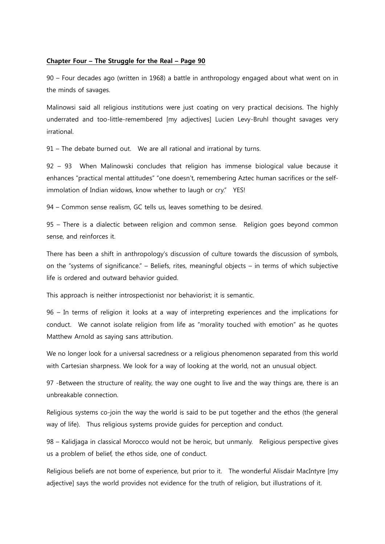### Chapter Four – The Struggle for the Real – Page 90

90 – Four decades ago (written in 1968) a battle in anthropology engaged about what went on in the minds of savages.

Malinowsi said all religious institutions were just coating on very practical decisions. The highly underrated and too-little-remembered [my adjectives] Lucien Levy-Bruhl thought savages very irrational.

91 – The debate burned out. We are all rational and irrational by turns.

92 – 93 When Malinowski concludes that religion has immense biological value because it enhances "practical mental attitudes" "one doesn't, remembering Aztec human sacrifices or the selfimmolation of Indian widows, know whether to laugh or cry." YES!

94 – Common sense realism, GC tells us, leaves something to be desired.

95 – There is a dialectic between religion and common sense. Religion goes beyond common sense, and reinforces it.

There has been a shift in anthropology's discussion of culture towards the discussion of symbols, on the "systems of significance." – Beliefs, rites, meaningful objects – in terms of which subjective life is ordered and outward behavior guided.

This approach is neither introspectionist nor behaviorist; it is semantic.

96 – In terms of religion it looks at a way of interpreting experiences and the implications for conduct. We cannot isolate religion from life as "morality touched with emotion" as he quotes Matthew Arnold as saying sans attribution.

We no longer look for a universal sacredness or a religious phenomenon separated from this world with Cartesian sharpness. We look for a way of looking at the world, not an unusual object.

97 -Between the structure of reality, the way one ought to live and the way things are, there is an unbreakable connection.

Religious systems co-join the way the world is said to be put together and the ethos (the general way of life). Thus religious systems provide guides for perception and conduct.

98 – Kalidjaga in classical Morocco would not be heroic, but unmanly. Religious perspective gives us a problem of belief, the ethos side, one of conduct.

Religious beliefs are not borne of experience, but prior to it. The wonderful Alisdair MacIntyre [my adjective] says the world provides not evidence for the truth of religion, but illustrations of it.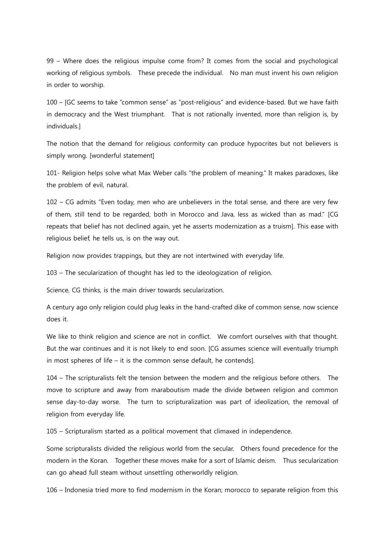99 – Where does the religious impulse come from? It comes from the social and psychological working of religious symbols. These precede the individual. No man must invent his own religion in order to worship.

100 – [GC seems to take "common sense" as "post-religious" and evidence-based. But we have faith in democracy and the West triumphant. That is not rationally invented, more than religion is, by individuals.]

The notion that the demand for religious conformity can produce hypocrites but not believers is simply wrong. [wonderful statement]

101- Religion helps solve what Max Weber calls "the problem of meaning." It makes paradoxes, like the problem of evil, natural.

102 – CG admits "Even today, men who are unbelievers in the total sense, and there are very few of them, still tend to be regarded, both in Morocco and Java, less as wicked than as mad." [CG repeats that belief has not declined again, yet he asserts modernization as a truism]. This ease with religious belief, he tells us, is on the way out.

Religion now provides trappings, but they are not intertwined with everyday life.

103 – The secularization of thought has led to the ideologization of religion.

Science, CG thinks, is the main driver towards secularization.

A century ago only religion could plug leaks in the hand-crafted dike of common sense, now science does it.

We like to think religion and science are not in conflict. We comfort ourselves with that thought. But the war continues and it is not likely to end soon. [CG assumes science will eventually triumph in most spheres of life – it is the common sense default, he contends].

104 – The scripturalists felt the tension between the modern and the religious before others. The move to scripture and away from maraboutism made the divide between religion and common sense day-to-day worse. The turn to scripturalization was part of ideolization, the removal of religion from everyday life.

105 – Scripturalism started as a political movement that climaxed in independence.

Some scripturalists divided the religious world from the secular. Others found precedence for the modern in the Koran. Together these moves make for a sort of Islamic deism. Thus secularization can go ahead full steam without unsettling otherworldly religion.

106 – Indonesia tried more to find modernism in the Koran; morocco to separate religion from this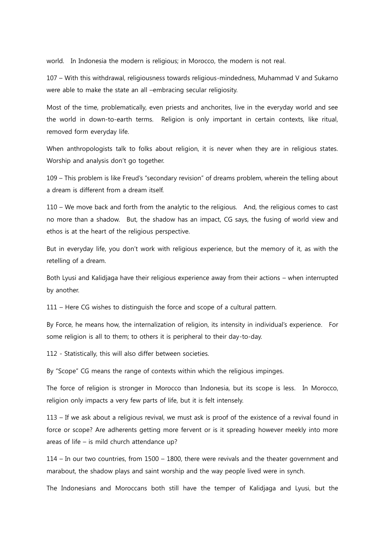world. In Indonesia the modern is religious; in Morocco, the modern is not real.

107 – With this withdrawal, religiousness towards religious-mindedness, Muhammad V and Sukarno were able to make the state an all –embracing secular religiosity.

Most of the time, problematically, even priests and anchorites, live in the everyday world and see the world in down-to-earth terms. Religion is only important in certain contexts, like ritual, removed form everyday life.

When anthropologists talk to folks about religion, it is never when they are in religious states. Worship and analysis don't go together.

109 – This problem is like Freud's "secondary revision" of dreams problem, wherein the telling about a dream is different from a dream itself.

110 – We move back and forth from the analytic to the religious. And, the religious comes to cast no more than a shadow. But, the shadow has an impact, CG says, the fusing of world view and ethos is at the heart of the religious perspective.

But in everyday life, you don't work with religious experience, but the memory of it, as with the retelling of a dream.

Both Lyusi and Kalidjaga have their religious experience away from their actions – when interrupted by another.

111 – Here CG wishes to distinguish the force and scope of a cultural pattern.

By Force, he means how, the internalization of religion, its intensity in individual's experience. For some religion is all to them; to others it is peripheral to their day-to-day.

112 - Statistically, this will also differ between societies.

By "Scope" CG means the range of contexts within which the religious impinges.

The force of religion is stronger in Morocco than Indonesia, but its scope is less. In Morocco, religion only impacts a very few parts of life, but it is felt intensely.

113 – If we ask about a religious revival, we must ask is proof of the existence of a revival found in force or scope? Are adherents getting more fervent or is it spreading however meekly into more areas of life – is mild church attendance up?

114 – In our two countries, from 1500 – 1800, there were revivals and the theater government and marabout, the shadow plays and saint worship and the way people lived were in synch.

The Indonesians and Moroccans both still have the temper of Kalidjaga and Lyusi, but the